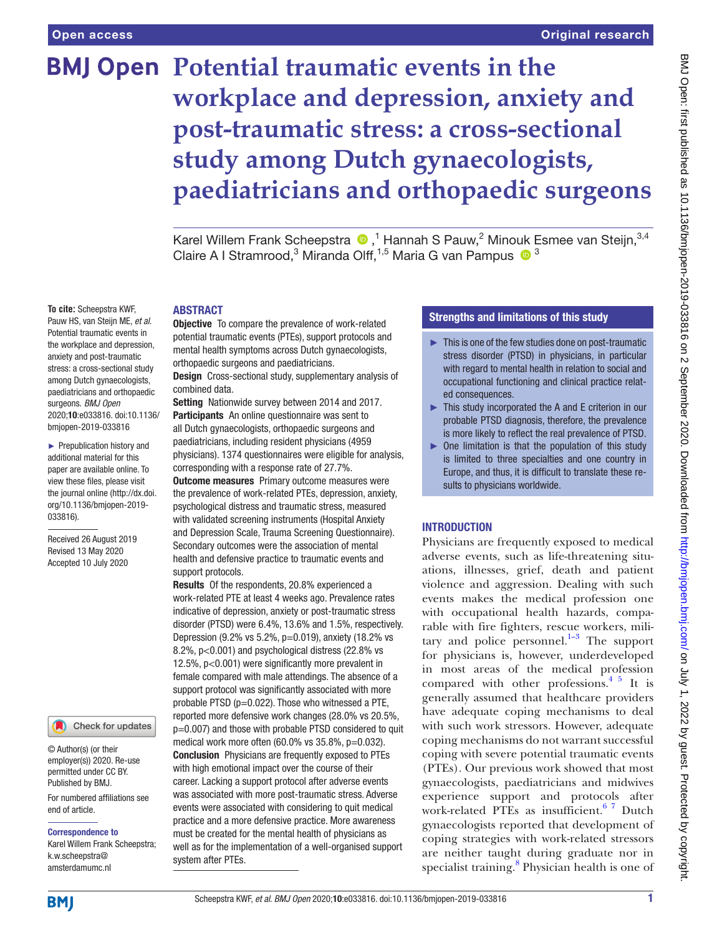# **BMJ Open Potential traumatic events in the workplace and depression, anxiety and post-traumatic stress: a cross-sectional study among Dutch gynaecologists, paediatricians and orthopaedic surgeons**

Karel Willem Frank Scheepstra  $\bigcirc$ ,<sup>1</sup> Hannah S Pauw,<sup>2</sup> Minouk Esmee van Steijn,<sup>3,4</sup> Claire A I Stramrood,<sup>3</sup> Miranda Olff,<sup>1,5</sup> Maria G van Pampus  $\bullet$ <sup>3</sup>

# ABSTRACT

Objective To compare the prevalence of work-related potential traumatic events (PTEs), support protocols and mental health symptoms across Dutch gynaecologists, orthopaedic surgeons and paediatricians.

Design Cross-sectional study, supplementary analysis of combined data.

Setting Nationwide survey between 2014 and 2017. Participants An online questionnaire was sent to all Dutch gynaecologists, orthopaedic surgeons and paediatricians, including resident physicians (4959 physicians). 1374 questionnaires were eligible for analysis, corresponding with a response rate of 27.7%. **Outcome measures** Primary outcome measures were the prevalence of work-related PTEs, depression, anxiety, psychological distress and traumatic stress, measured with validated screening instruments (Hospital Anxiety and Depression Scale, Trauma Screening Questionnaire). Secondary outcomes were the association of mental health and defensive practice to traumatic events and support protocols.

Results Of the respondents, 20.8% experienced a work-related PTE at least 4 weeks ago. Prevalence rates indicative of depression, anxiety or post-traumatic stress disorder (PTSD) were 6.4%, 13.6% and 1.5%, respectively. Depression (9.2% vs 5.2%, p=0.019), anxiety (18.2% vs 8.2%, p<0.001) and psychological distress (22.8% vs 12.5%, p<0.001) were significantly more prevalent in female compared with male attendings. The absence of a support protocol was significantly associated with more probable PTSD (p=0.022). Those who witnessed a PTE, reported more defensive work changes (28.0% vs 20.5%, p=0.007) and those with probable PTSD considered to quit medical work more often  $(60.0\%$  vs  $35.8\%$ ,  $p=0.032$ ). Conclusion Physicians are frequently exposed to PTEs with high emotional impact over the course of their career. Lacking a support protocol after adverse events was associated with more post-traumatic stress. Adverse events were associated with considering to quit medical practice and a more defensive practice. More awareness must be created for the mental health of physicians as well as for the implementation of a well-organised support system after PTEs.

# Strengths and limitations of this study

- ► This is one of the few studies done on post-traumatic stress disorder (PTSD) in physicians, in particular with regard to mental health in relation to social and occupational functioning and clinical practice related consequences.
- ► This study incorporated the A and E criterion in our probable PTSD diagnosis, therefore, the prevalence is more likely to reflect the real prevalence of PTSD.
- ► One limitation is that the population of this study is limited to three specialties and one country in Europe, and thus, it is difficult to translate these results to physicians worldwide.

# INTRODUCTION

Physicians are frequently exposed to medical adverse events, such as life-threatening situations, illnesses, grief, death and patient violence and aggression. Dealing with such events makes the medical profession one with occupational health hazards, comparable with fire fighters, rescue workers, military and police personnel. $1-3$  The support for physicians is, however, underdeveloped in most areas of the medical profession compared with other professions.[4 5](#page-6-1) It is generally assumed that healthcare providers have adequate coping mechanisms to deal with such work stressors. However, adequate coping mechanisms do not warrant successful coping with severe potential traumatic events (PTEs). Our previous work showed that most gynaecologists, paediatricians and midwives experience support and protocols after work-related PTEs as insufficient.<sup>67</sup> Dutch gynaecologists reported that development of coping strategies with work-related stressors are neither taught during graduate nor in specialist training.<sup>8</sup> Physician health is one of

**To cite:** Scheepstra KWF, Pauw HS, van Steijn ME, *et al*.

Potential traumatic events in the workplace and depression, anxiety and post-traumatic stress: a cross-sectional study among Dutch gynaecologists, paediatricians and orthopaedic surgeons. *BMJ Open* 2020;10:e033816. doi:10.1136/ bmjopen-2019-033816

► Prepublication history and additional material for this paper are available online. To view these files, please visit the journal online (http://dx.doi. org/10.1136/bmjopen-2019- 033816).

Received 26 August 2019 Revised 13 May 2020 Accepted 10 July 2020

Check for updates

© Author(s) (or their employer(s)) 2020. Re-use permitted under CC BY. Published by BMJ.

For numbered affiliations see end of article.

#### Correspondence to

Karel Willem Frank Scheepstra; k.w.scheepstra@ amsterdamumc.nl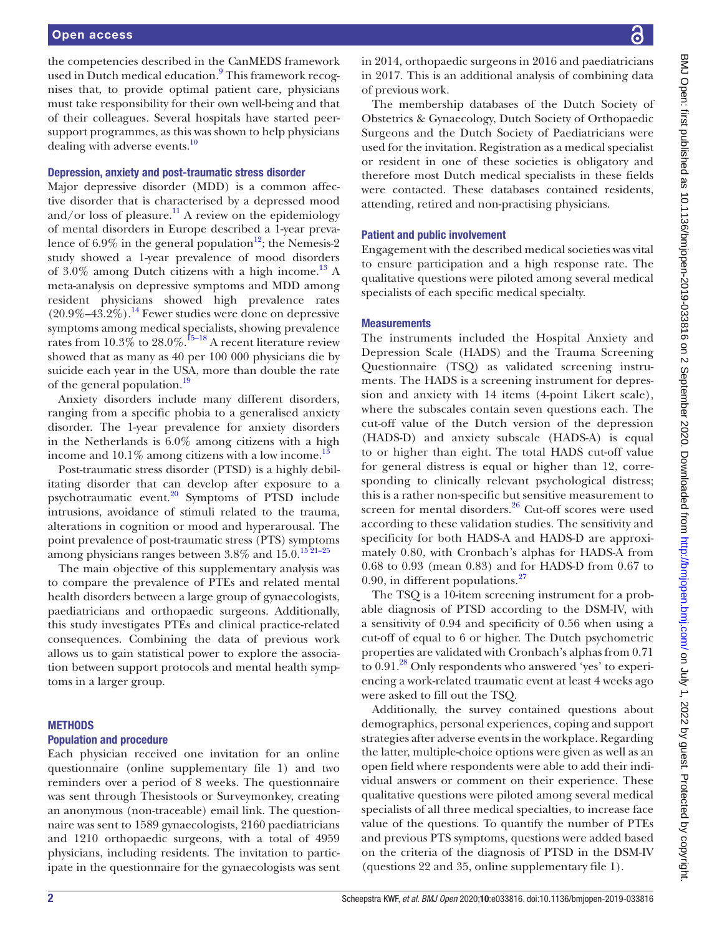the competencies described in the CanMEDS framework used in Dutch medical education.<sup>[9](#page-6-4)</sup> This framework recognises that, to provide optimal patient care, physicians must take responsibility for their own well-being and that of their colleagues. Several hospitals have started peersupport programmes, as this was shown to help physicians dealing with adverse events.<sup>[10](#page-6-5)</sup>

# Depression, anxiety and post-traumatic stress disorder

Major depressive disorder (MDD) is a common affective disorder that is characterised by a depressed mood and/or loss of pleasure.<sup>[11](#page-6-6)</sup> A review on the epidemiology of mental disorders in Europe described a 1-year prevalence of  $6.9\%$  in the general population<sup>[12](#page-6-7)</sup>; the Nemesis-2 study showed a 1-year prevalence of mood disorders of  $3.0\%$  among Dutch citizens with a high income.<sup>13</sup> A meta-analysis on depressive symptoms and MDD among resident physicians showed high prevalence rates  $(20.9\% - 43.2\%)$ .<sup>14</sup> Fewer studies were done on depressive symptoms among medical specialists, showing prevalence rates from  $10.3\%$  to  $28.0\%$ .<sup>15–18</sup> A recent literature review showed that as many as 40 per 100 000 physicians die by suicide each year in the USA, more than double the rate of the general population.<sup>[19](#page-7-3)</sup>

Anxiety disorders include many different disorders, ranging from a specific phobia to a generalised anxiety disorder. The 1-year prevalence for anxiety disorders in the Netherlands is 6.0% among citizens with a high income and  $10.1\%$  among citizens with a low income.<sup>13</sup>

Post-traumatic stress disorder (PTSD) is a highly debilitating disorder that can develop after exposure to a psychotraumatic event[.20](#page-7-4) Symptoms of PTSD include intrusions, avoidance of stimuli related to the trauma, alterations in cognition or mood and hyperarousal. The point prevalence of post-traumatic stress (PTS) symptoms among physicians ranges between  $3.8\%$  and  $15.0$ .<sup>1521-25</sup>

The main objective of this supplementary analysis was to compare the prevalence of PTEs and related mental health disorders between a large group of gynaecologists, paediatricians and orthopaedic surgeons. Additionally, this study investigates PTEs and clinical practice-related consequences. Combining the data of previous work allows us to gain statistical power to explore the association between support protocols and mental health symptoms in a larger group.

# METHODS

# Population and procedure

Each physician received one invitation for an online questionnaire ([online supplementary file 1](https://dx.doi.org/10.1136/bmjopen-2019-033816)) and two reminders over a period of 8 weeks. The questionnaire was sent through Thesistools or Surveymonkey, creating an anonymous (non-traceable) email link. The questionnaire was sent to 1589 gynaecologists, 2160 paediatricians and 1210 orthopaedic surgeons, with a total of 4959 physicians, including residents. The invitation to participate in the questionnaire for the gynaecologists was sent

in 2014, orthopaedic surgeons in 2016 and paediatricians in 2017. This is an additional analysis of combining data of previous work.

The membership databases of the Dutch Society of Obstetrics & Gynaecology, Dutch Society of Orthopaedic Surgeons and the Dutch Society of Paediatricians were used for the invitation. Registration as a medical specialist or resident in one of these societies is obligatory and therefore most Dutch medical specialists in these fields were contacted. These databases contained residents, attending, retired and non-practising physicians.

# Patient and public involvement

Engagement with the described medical societies was vital to ensure participation and a high response rate. The qualitative questions were piloted among several medical specialists of each specific medical specialty.

# **Measurements**

The instruments included the Hospital Anxiety and Depression Scale (HADS) and the Trauma Screening Questionnaire (TSQ) as validated screening instruments. The HADS is a screening instrument for depression and anxiety with 14 items (4-point Likert scale), where the subscales contain seven questions each. The cut-off value of the Dutch version of the depression (HADS-D) and anxiety subscale (HADS-A) is equal to or higher than eight. The total HADS cut-off value for general distress is equal or higher than 12, corresponding to clinically relevant psychological distress; this is a rather non-specific but sensitive measurement to screen for mental disorders.<sup>[26](#page-7-5)</sup> Cut-off scores were used according to these validation studies. The sensitivity and specificity for both HADS-A and HADS-D are approximately 0.80, with Cronbach's alphas for HADS-A from 0.68 to 0.93 (mean 0.83) and for HADS-D from 0.67 to 0.90, in different populations. $27$ 

The TSQ is a 10-item screening instrument for a probable diagnosis of PTSD according to the DSM-IV, with a sensitivity of 0.94 and specificity of 0.56 when using a cut-off of equal to 6 or higher. The Dutch psychometric properties are validated with Cronbach's alphas from 0.71 to  $0.91$ .<sup>28</sup> Only respondents who answered 'yes' to experiencing a work-related traumatic event at least 4 weeks ago were asked to fill out the TSQ.

Additionally, the survey contained questions about demographics, personal experiences, coping and support strategies after adverse events in the workplace. Regarding the latter, multiple-choice options were given as well as an open field where respondents were able to add their individual answers or comment on their experience. These qualitative questions were piloted among several medical specialists of all three medical specialties, to increase face value of the questions. To quantify the number of PTEs and previous PTS symptoms, questions were added based on the criteria of the diagnosis of PTSD in the DSM-IV (questions 22 and 35, [online supplementary file 1\)](https://dx.doi.org/10.1136/bmjopen-2019-033816).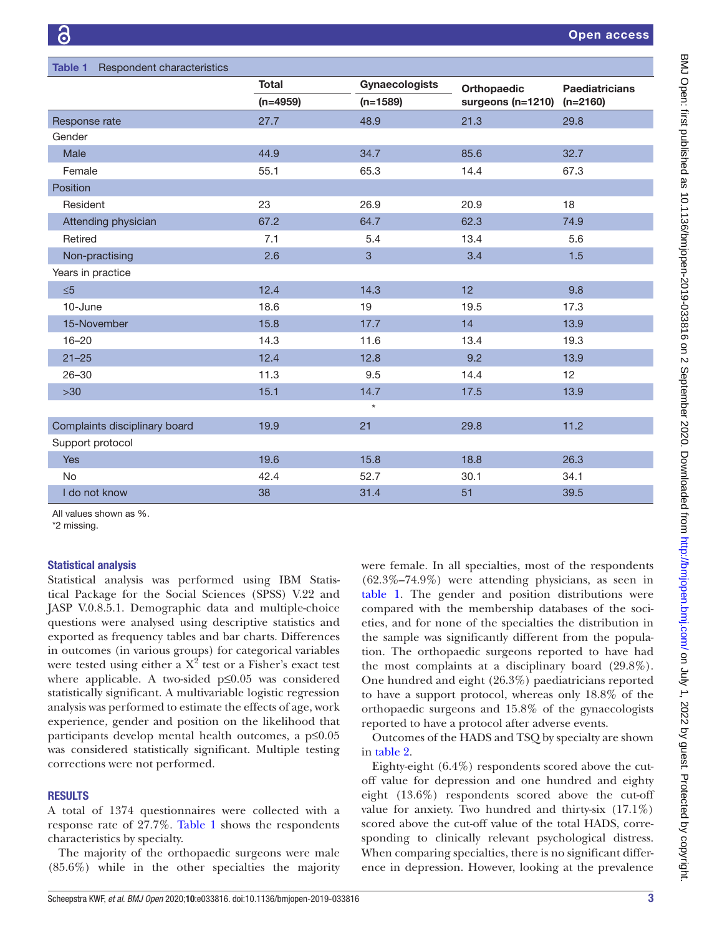<span id="page-2-0"></span>

| Table 1 Respondent characteristics |              |                       |                       |                       |  |  |  |
|------------------------------------|--------------|-----------------------|-----------------------|-----------------------|--|--|--|
|                                    | <b>Total</b> | <b>Gynaecologists</b> | Orthopaedic           | <b>Paediatricians</b> |  |  |  |
|                                    | $(n=4959)$   | $(n=1589)$            | surgeons ( $n=1210$ ) | $(n=2160)$            |  |  |  |
| Response rate                      | 27.7         | 48.9                  | 21.3                  | 29.8                  |  |  |  |
| Gender                             |              |                       |                       |                       |  |  |  |
| Male                               | 44.9         | 34.7                  | 85.6                  | 32.7                  |  |  |  |
| Female                             | 55.1         | 65.3                  | 14.4                  | 67.3                  |  |  |  |
| Position                           |              |                       |                       |                       |  |  |  |
| Resident                           | 23           | 26.9                  | 20.9                  | 18                    |  |  |  |
| Attending physician                | 67.2         | 64.7                  | 62.3                  | 74.9                  |  |  |  |
| Retired                            | 7.1          | 5.4                   | 13.4                  | 5.6                   |  |  |  |
| Non-practising                     | 2.6          | 3                     | 3.4                   | 1.5                   |  |  |  |
| Years in practice                  |              |                       |                       |                       |  |  |  |
| $\leq 5$                           | 12.4         | 14.3                  | 12                    | 9.8                   |  |  |  |
| 10-June                            | 18.6         | 19                    | 19.5                  | 17.3                  |  |  |  |
| 15-November                        | 15.8         | 17.7                  | 14                    | 13.9                  |  |  |  |
| $16 - 20$                          | 14.3         | 11.6                  | 13.4                  | 19.3                  |  |  |  |
| $21 - 25$                          | 12.4         | 12.8                  | 9.2                   | 13.9                  |  |  |  |
| $26 - 30$                          | 11.3         | 9.5                   | 14.4                  | 12                    |  |  |  |
| $>30$                              | 15.1         | 14.7                  | 17.5                  | 13.9                  |  |  |  |
|                                    |              | $\star$               |                       |                       |  |  |  |
| Complaints disciplinary board      | 19.9         | 21                    | 29.8                  | 11.2                  |  |  |  |
| Support protocol                   |              |                       |                       |                       |  |  |  |
| Yes                                | 19.6         | 15.8                  | 18.8                  | 26.3                  |  |  |  |
| No                                 | 42.4         | 52.7                  | 30.1                  | 34.1                  |  |  |  |
| I do not know                      | 38           | 31.4                  | 51                    | 39.5                  |  |  |  |

All values shown as %.

\*2 missing.

# Statistical analysis

Statistical analysis was performed using IBM Statistical Package for the Social Sciences (SPSS) V.22 and JASP V.0.8.5.1. Demographic data and multiple-choice questions were analysed using descriptive statistics and exported as frequency tables and bar charts. Differences in outcomes (in various groups) for categorical variables were tested using either a  $X^2$  test or a Fisher's exact test where applicable. A two-sided p≤0.05 was considered statistically significant. A multivariable logistic regression analysis was performed to estimate the effects of age, work experience, gender and position on the likelihood that participants develop mental health outcomes, a p≤0.05 was considered statistically significant. Multiple testing corrections were not performed.

# **RESULTS**

A total of 1374 questionnaires were collected with a response rate of 27.7%. [Table](#page-2-0) 1 shows the respondents characteristics by specialty.

The majority of the orthopaedic surgeons were male (85.6%) while in the other specialties the majority were female. In all specialties, most of the respondents (62.3%–74.9%) were attending physicians, as seen in [table](#page-2-0) 1. The gender and position distributions were compared with the membership databases of the societies, and for none of the specialties the distribution in the sample was significantly different from the population. The orthopaedic surgeons reported to have had the most complaints at a disciplinary board (29.8%). One hundred and eight (26.3%) paediatricians reported to have a support protocol, whereas only 18.8% of the orthopaedic surgeons and 15.8% of the gynaecologists reported to have a protocol after adverse events.

Outcomes of the HADS and TSQ by specialty are shown in [table](#page-3-0) 2.

Eighty-eight (6.4%) respondents scored above the cutoff value for depression and one hundred and eighty eight (13.6%) respondents scored above the cut-off value for anxiety. Two hundred and thirty-six (17.1%) scored above the cut-off value of the total HADS, corresponding to clinically relevant psychological distress. When comparing specialties, there is no significant difference in depression. However, looking at the prevalence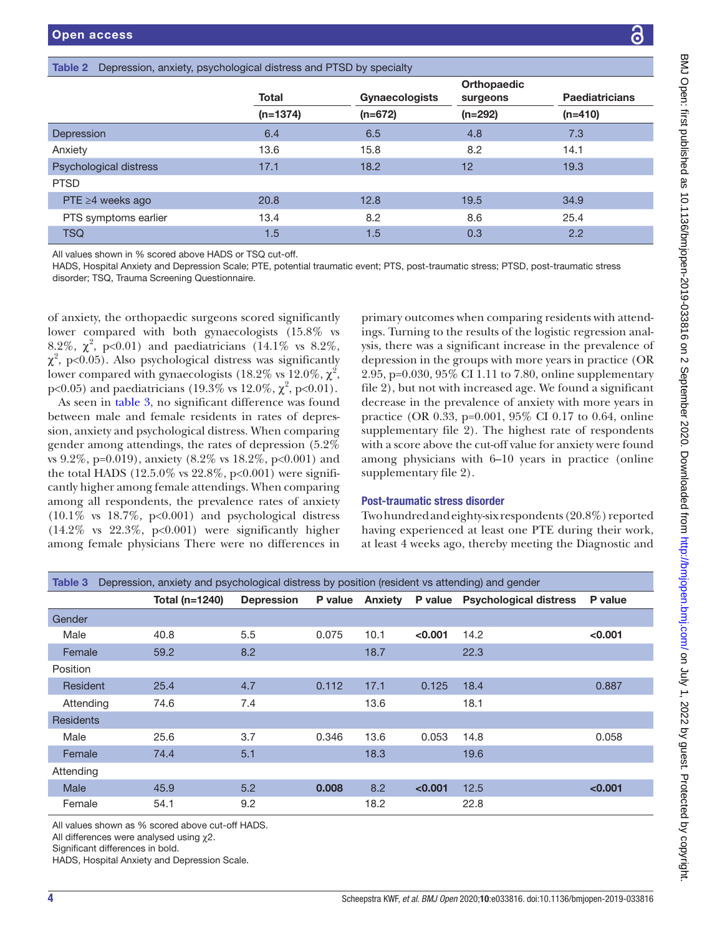# <span id="page-3-0"></span>Table 2 Depression, anxiety, psychological distress and PTSD by specialty

|                        | Total      | <b>Gynaecologists</b> | Orthopaedic<br>surgeons | <b>Paediatricians</b> |  |
|------------------------|------------|-----------------------|-------------------------|-----------------------|--|
|                        | $(n=1374)$ | $(n=672)$             | $(n=292)$               | $(n=410)$             |  |
| Depression             | 6.4        | 6.5                   | 4.8                     | 7.3                   |  |
| Anxiety                | 13.6       | 15.8                  | 8.2                     | 14.1                  |  |
| Psychological distress | 17.1       | 18.2                  | 12                      | 19.3                  |  |
| <b>PTSD</b>            |            |                       |                         |                       |  |
| PTE ≥4 weeks ago       | 20.8       | 12.8                  | 19.5                    | 34.9                  |  |
| PTS symptoms earlier   | 13.4       | 8.2                   | 8.6                     | 25.4                  |  |
| <b>TSQ</b>             | 1.5        | 1.5                   | 0.3                     | 2.2                   |  |

All values shown in % scored above HADS or TSQ cut-off.

HADS, Hospital Anxiety and Depression Scale; PTE, potential traumatic event; PTS, post-traumatic stress; PTSD, post-traumatic stress disorder; TSQ, Trauma Screening Questionnaire.

of anxiety, the orthopaedic surgeons scored significantly lower compared with both gynaecologists (15.8% vs 8.2%,  $\chi^2$ , p<0.01) and paediatricians (14.1% vs 8.2%,  $\chi^2$ , p<0.05). Also psychological distress was significantly lower compared with gynaecologists (18.2% vs 12.0%,  $\chi^2$ , p<0.05) and paediatricians (19.3% vs 12.0%,  $\chi^2$ , p<0.01).

As seen in [table](#page-3-1) 3, no significant difference was found between male and female residents in rates of depression, anxiety and psychological distress. When comparing gender among attendings, the rates of depression (5.2% vs 9.2%, p=0.019), anxiety (8.2% vs 18.2%, p<0.001) and the total HADS  $(12.5.0\% \text{ vs } 22.8\%, \text{ p} < 0.001)$  were significantly higher among female attendings. When comparing among all respondents, the prevalence rates of anxiety  $(10.1\%$  vs  $18.7\%$ ,  $p<0.001$ ) and psychological distress (14.2% vs 22.3%, p<0.001) were significantly higher among female physicians There were no differences in

primary outcomes when comparing residents with attendings. Turning to the results of the logistic regression analysis, there was a significant increase in the prevalence of depression in the groups with more years in practice (OR 2.95, p=0.030, 95% CI 1.11 to 7.80, [online supplementary](https://dx.doi.org/10.1136/bmjopen-2019-033816)  [file 2](https://dx.doi.org/10.1136/bmjopen-2019-033816)), but not with increased age. We found a significant decrease in the prevalence of anxiety with more years in practice (OR 0.33, p=0.001, 95% CI 0.17 to 0.64, [online](https://dx.doi.org/10.1136/bmjopen-2019-033816)  [supplementary file 2\)](https://dx.doi.org/10.1136/bmjopen-2019-033816). The highest rate of respondents with a score above the cut-off value for anxiety were found among physicians with 6–10 years in practice ([online](https://dx.doi.org/10.1136/bmjopen-2019-033816)  [supplementary file 2\)](https://dx.doi.org/10.1136/bmjopen-2019-033816).

# Post-traumatic stress disorder

Two hundred and eighty-six respondents (20.8%) reported having experienced at least one PTE during their work, at least 4 weeks ago, thereby meeting the Diagnostic and

<span id="page-3-1"></span>

| Depression, anxiety and psychological distress by position (resident vs attending) and gender<br>Table 3 |  |                |                   |         |                |         |                               |         |
|----------------------------------------------------------------------------------------------------------|--|----------------|-------------------|---------|----------------|---------|-------------------------------|---------|
|                                                                                                          |  | Total (n=1240) | <b>Depression</b> | P value | <b>Anxiety</b> | P value | <b>Psychological distress</b> | P value |
| Gender                                                                                                   |  |                |                   |         |                |         |                               |         |
| Male                                                                                                     |  | 40.8           | 5.5               | 0.075   | 10.1           | < 0.001 | 14.2                          | < 0.001 |
| Female                                                                                                   |  | 59.2           | 8.2               |         | 18.7           |         | 22.3                          |         |
| Position                                                                                                 |  |                |                   |         |                |         |                               |         |
| Resident                                                                                                 |  | 25.4           | 4.7               | 0.112   | 17.1           | 0.125   | 18.4                          | 0.887   |
| Attending                                                                                                |  | 74.6           | 7.4               |         | 13.6           |         | 18.1                          |         |
| <b>Residents</b>                                                                                         |  |                |                   |         |                |         |                               |         |
| Male                                                                                                     |  | 25.6           | 3.7               | 0.346   | 13.6           | 0.053   | 14.8                          | 0.058   |
| Female                                                                                                   |  | 74.4           | 5.1               |         | 18.3           |         | 19.6                          |         |
| Attending                                                                                                |  |                |                   |         |                |         |                               |         |
| Male                                                                                                     |  | 45.9           | 5.2               | 0.008   | 8.2            | < 0.001 | 12.5                          | < 0.001 |
| Female                                                                                                   |  | 54.1           | 9.2               |         | 18.2           |         | 22.8                          |         |

All values shown as % scored above cut-off HADS.

All differences were analysed using χ2.

Significant differences in bold.

HADS, Hospital Anxiety and Depression Scale.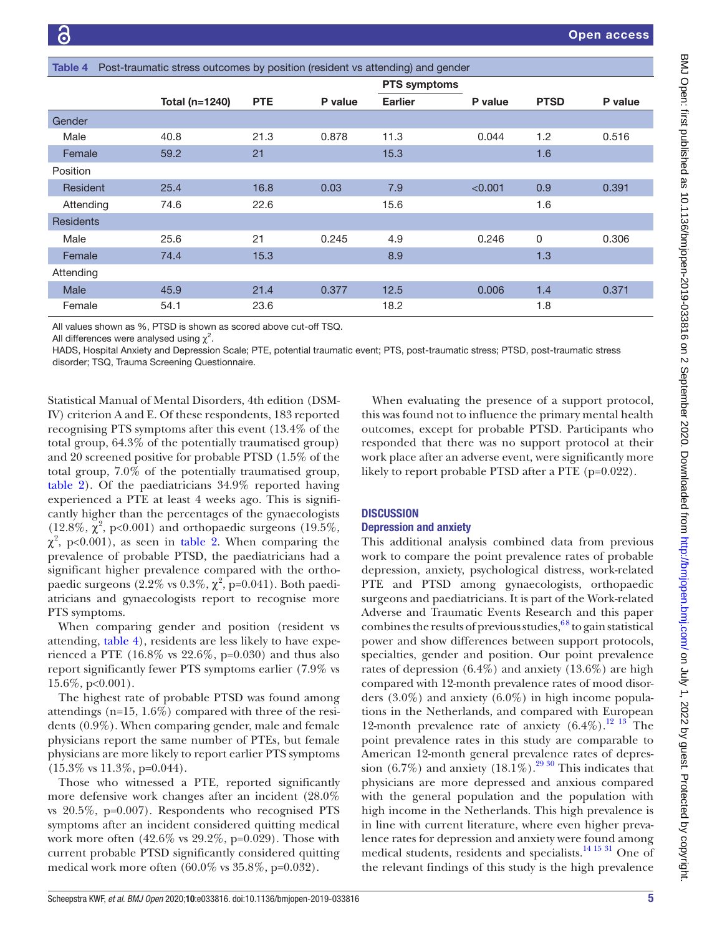<span id="page-4-0"></span>

| Post-traumatic stress outcomes by position (resident vs attending) and gender<br>Table 4 |                |            |         |                     |         |             |         |
|------------------------------------------------------------------------------------------|----------------|------------|---------|---------------------|---------|-------------|---------|
|                                                                                          |                |            |         | <b>PTS symptoms</b> |         |             |         |
|                                                                                          | Total (n=1240) | <b>PTE</b> | P value | <b>Earlier</b>      | P value | <b>PTSD</b> | P value |
| Gender                                                                                   |                |            |         |                     |         |             |         |
| Male                                                                                     | 40.8           | 21.3       | 0.878   | 11.3                | 0.044   | 1.2         | 0.516   |
| Female                                                                                   | 59.2           | 21         |         | 15.3                |         | 1.6         |         |
| Position                                                                                 |                |            |         |                     |         |             |         |
| Resident                                                                                 | 25.4           | 16.8       | 0.03    | 7.9                 | < 0.001 | 0.9         | 0.391   |
| Attending                                                                                | 74.6           | 22.6       |         | 15.6                |         | 1.6         |         |
| <b>Residents</b>                                                                         |                |            |         |                     |         |             |         |
| Male                                                                                     | 25.6           | 21         | 0.245   | 4.9                 | 0.246   | 0           | 0.306   |
| Female                                                                                   | 74.4           | 15.3       |         | 8.9                 |         | 1.3         |         |
| Attending                                                                                |                |            |         |                     |         |             |         |
| <b>Male</b>                                                                              | 45.9           | 21.4       | 0.377   | 12.5                | 0.006   | 1.4         | 0.371   |
| Female                                                                                   | 54.1           | 23.6       |         | 18.2                |         | 1.8         |         |

All values shown as %, PTSD is shown as scored above cut-off TSQ.

All differences were analysed using  $\chi^2$ .

HADS, Hospital Anxiety and Depression Scale; PTE, potential traumatic event; PTS, post-traumatic stress; PTSD, post-traumatic stress disorder; TSQ, Trauma Screening Questionnaire.

Statistical Manual of Mental Disorders, 4th edition (DSM-IV) criterion A and E. Of these respondents, 183 reported recognising PTS symptoms after this event (13.4% of the total group, 64.3% of the potentially traumatised group) and 20 screened positive for probable PTSD (1.5% of the total group, 7.0% of the potentially traumatised group, [table](#page-3-0) 2). Of the paediatricians 34.9% reported having experienced a PTE at least 4 weeks ago. This is significantly higher than the percentages of the gynaecologists (12.8%,  $\chi^2$ , p<0.001) and orthopaedic surgeons (19.5%,  $\chi^2$ , p<0.001), as seen in [table](#page-3-0) 2. When comparing the prevalence of probable PTSD, the paediatricians had a significant higher prevalence compared with the orthopaedic surgeons  $(2.2\% \text{ vs } 0.3\%, \chi^2, \text{p=0.041})$ . Both paediatricians and gynaecologists report to recognise more PTS symptoms.

When comparing gender and position (resident vs attending, [table](#page-4-0) 4), residents are less likely to have experienced a PTE (16.8% vs 22.6%, p=0.030) and thus also report significantly fewer PTS symptoms earlier (7.9% vs 15.6%, p<0.001).

The highest rate of probable PTSD was found among attendings (n=15, 1.6%) compared with three of the residents (0.9%). When comparing gender, male and female physicians report the same number of PTEs, but female physicians are more likely to report earlier PTS symptoms (15.3% vs 11.3%, p=0.044).

Those who witnessed a PTE, reported significantly more defensive work changes after an incident (28.0% vs 20.5%, p=0.007). Respondents who recognised PTS symptoms after an incident considered quitting medical work more often (42.6% vs 29.2%, p=0.029). Those with current probable PTSD significantly considered quitting medical work more often (60.0% vs 35.8%, p=0.032).

When evaluating the presence of a support protocol, this was found not to influence the primary mental health outcomes, except for probable PTSD. Participants who responded that there was no support protocol at their work place after an adverse event, were significantly more likely to report probable PTSD after a PTE (p=0.022).

# **DISCUSSION**

# Depression and anxiety

This additional analysis combined data from previous work to compare the point prevalence rates of probable depression, anxiety, psychological distress, work-related PTE and PTSD among gynaecologists, orthopaedic surgeons and paediatricians. It is part of the Work-related Adverse and Traumatic Events Research and this paper combines the results of previous studies,  $68$  to gain statistical power and show differences between support protocols, specialties, gender and position. Our point prevalence rates of depression (6.4%) and anxiety (13.6%) are high compared with 12-month prevalence rates of mood disorders (3.0%) and anxiety (6.0%) in high income populations in the Netherlands, and compared with European 12-month prevalence rate of anxiety  $(6.4\%)$ .<sup>12</sup> <sup>13</sup> The point prevalence rates in this study are comparable to American 12-month general prevalence rates of depression (6.7%) and anxiety (18.1%).<sup>29 30</sup> This indicates that physicians are more depressed and anxious compared with the general population and the population with high income in the Netherlands. This high prevalence is in line with current literature, where even higher prevalence rates for depression and anxiety were found among medical students, residents and specialists.<sup>14 15 31</sup> One of the relevant findings of this study is the high prevalence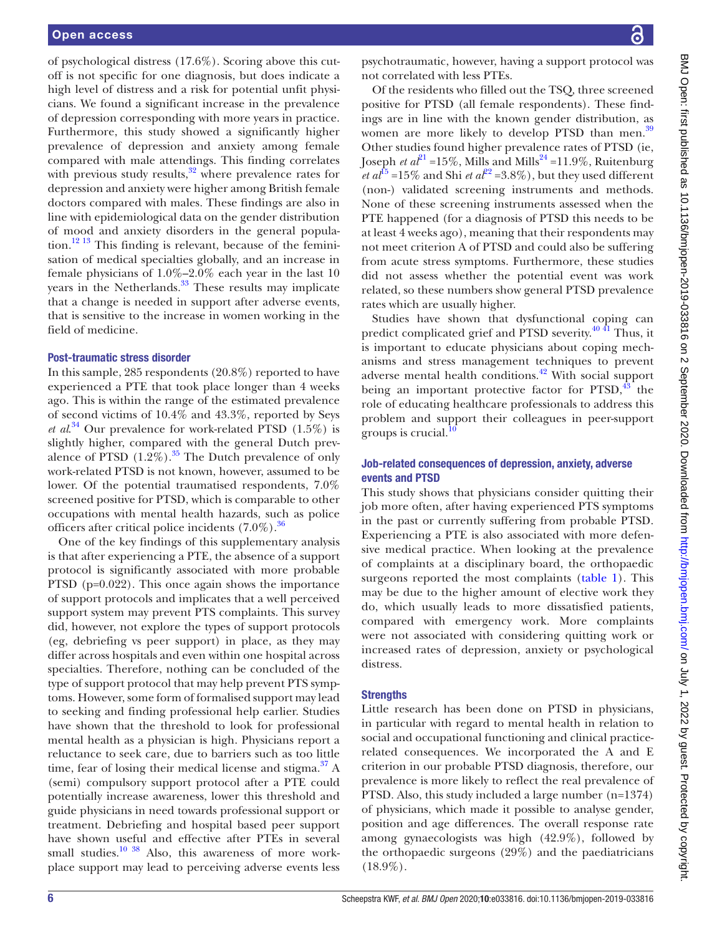of psychological distress (17.6%). Scoring above this cutoff is not specific for one diagnosis, but does indicate a high level of distress and a risk for potential unfit physicians. We found a significant increase in the prevalence of depression corresponding with more years in practice. Furthermore, this study showed a significantly higher prevalence of depression and anxiety among female compared with male attendings. This finding correlates with previous study results, $32$  where prevalence rates for depression and anxiety were higher among British female doctors compared with males. These findings are also in line with epidemiological data on the gender distribution of mood and anxiety disorders in the general population.<sup>12 13</sup> This finding is relevant, because of the feminisation of medical specialties globally, and an increase in female physicians of  $1.0\% - 2.0\%$  each year in the last 10 years in the Netherlands.<sup>33</sup> These results may implicate that a change is needed in support after adverse events, that is sensitive to the increase in women working in the field of medicine.

#### Post-traumatic stress disorder

In this sample, 285 respondents (20.8%) reported to have experienced a PTE that took place longer than 4 weeks ago. This is within the range of the estimated prevalence of second victims of 10.4% and 43.3%, reported by Seys *et al*. [34](#page-7-11) Our prevalence for work-related PTSD (1.5%) is slightly higher, compared with the general Dutch prevalence of PTSD  $(1.2\%)$ .<sup>35</sup> The Dutch prevalence of only work-related PTSD is not known, however, assumed to be lower. Of the potential traumatised respondents, 7.0% screened positive for PTSD, which is comparable to other occupations with mental health hazards, such as police officers after critical police incidents  $(7.0\%)$ .<sup>36</sup>

One of the key findings of this supplementary analysis is that after experiencing a PTE, the absence of a support protocol is significantly associated with more probable PTSD (p=0.022). This once again shows the importance of support protocols and implicates that a well perceived support system may prevent PTS complaints. This survey did, however, not explore the types of support protocols (eg, debriefing vs peer support) in place, as they may differ across hospitals and even within one hospital across specialties. Therefore, nothing can be concluded of the type of support protocol that may help prevent PTS symptoms. However, some form of formalised support may lead to seeking and finding professional help earlier. Studies have shown that the threshold to look for professional mental health as a physician is high. Physicians report a reluctance to seek care, due to barriers such as too little time, fear of losing their medical license and stigma. $37 A$  $37 A$ (semi) compulsory support protocol after a PTE could potentially increase awareness, lower this threshold and guide physicians in need towards professional support or treatment. Debriefing and hospital based peer support have shown useful and effective after PTEs in several small studies.<sup>10 38</sup> Also, this awareness of more workplace support may lead to perceiving adverse events less

psychotraumatic, however, having a support protocol was not correlated with less PTEs.

Of the residents who filled out the TSQ, three screened positive for PTSD (all female respondents). These findings are in line with the known gender distribution, as women are more likely to develop PTSD than men.<sup>[39](#page-7-15)</sup> Other studies found higher prevalence rates of PTSD (ie, Joseph *et al*<sup>[21](#page-7-16)</sup> =15%, Mills and Mills<sup>24</sup> =11.9%, Ruitenburg *et al*<sup>15</sup> =15% and Shi *et al*<sup>[22](#page-7-18)</sup> =3.8%), but they used different (non-) validated screening instruments and methods. None of these screening instruments assessed when the PTE happened (for a diagnosis of PTSD this needs to be at least 4 weeks ago), meaning that their respondents may not meet criterion A of PTSD and could also be suffering from acute stress symptoms. Furthermore, these studies did not assess whether the potential event was work related, so these numbers show general PTSD prevalence rates which are usually higher.

Studies have shown that dysfunctional coping can predict complicated grief and PTSD severity.<sup>[40 41](#page-7-19)</sup> Thus, it is important to educate physicians about coping mechanisms and stress management techniques to prevent adverse mental health conditions.<sup>42</sup> With social support being an important protective factor for  $PTSD<sup>43</sup>$ , the role of educating healthcare professionals to address this problem and support their colleagues in peer-support groups is crucial. $\frac{10}{10}$ 

# Job-related consequences of depression, anxiety, adverse events and PTSD

This study shows that physicians consider quitting their job more often, after having experienced PTS symptoms in the past or currently suffering from probable PTSD. Experiencing a PTE is also associated with more defensive medical practice. When looking at the prevalence of complaints at a disciplinary board, the orthopaedic surgeons reported the most complaints ([table](#page-2-0) 1). This may be due to the higher amount of elective work they do, which usually leads to more dissatisfied patients, compared with emergency work. More complaints were not associated with considering quitting work or increased rates of depression, anxiety or psychological distress.

# **Strengths**

Little research has been done on PTSD in physicians, in particular with regard to mental health in relation to social and occupational functioning and clinical practicerelated consequences. We incorporated the A and E criterion in our probable PTSD diagnosis, therefore, our prevalence is more likely to reflect the real prevalence of PTSD. Also, this study included a large number (n=1374) of physicians, which made it possible to analyse gender, position and age differences. The overall response rate among gynaecologists was high (42.9%), followed by the orthopaedic surgeons (29%) and the paediatricians  $(18.9\%).$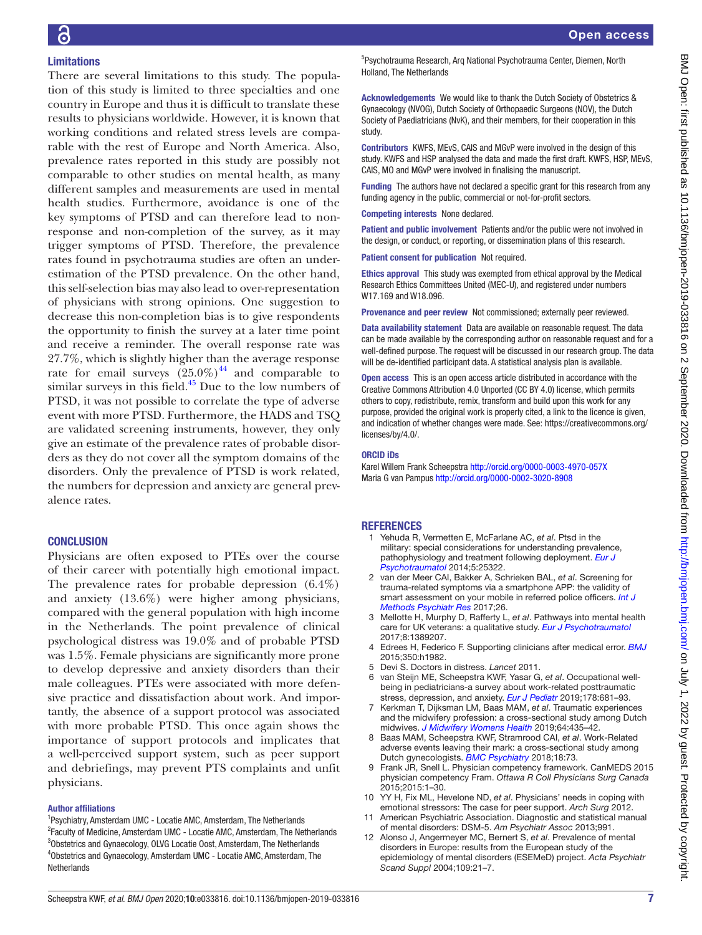# **Limitations**

There are several limitations to this study. The population of this study is limited to three specialties and one country in Europe and thus it is difficult to translate these results to physicians worldwide. However, it is known that working conditions and related stress levels are comparable with the rest of Europe and North America. Also, prevalence rates reported in this study are possibly not comparable to other studies on mental health, as many different samples and measurements are used in mental health studies. Furthermore, avoidance is one of the key symptoms of PTSD and can therefore lead to nonresponse and non-completion of the survey, as it may trigger symptoms of PTSD. Therefore, the prevalence rates found in psychotrauma studies are often an underestimation of the PTSD prevalence. On the other hand, this self-selection bias may also lead to over-representation of physicians with strong opinions. One suggestion to decrease this non-completion bias is to give respondents the opportunity to finish the survey at a later time point and receive a reminder. The overall response rate was 27.7%, which is slightly higher than the average response rate for email surveys  $(25.0\%)^{44}$  and comparable to similar surveys in this field. $45$  Due to the low numbers of PTSD, it was not possible to correlate the type of adverse event with more PTSD. Furthermore, the HADS and TSQ are validated screening instruments, however, they only give an estimate of the prevalence rates of probable disorders as they do not cover all the symptom domains of the disorders. Only the prevalence of PTSD is work related, the numbers for depression and anxiety are general prevalence rates.

# **CONCLUSION**

Physicians are often exposed to PTEs over the course of their career with potentially high emotional impact. The prevalence rates for probable depression (6.4%) and anxiety (13.6%) were higher among physicians, compared with the general population with high income in the Netherlands. The point prevalence of clinical psychological distress was 19.0% and of probable PTSD was 1.5%. Female physicians are significantly more prone to develop depressive and anxiety disorders than their male colleagues. PTEs were associated with more defensive practice and dissatisfaction about work. And importantly, the absence of a support protocol was associated with more probable PTSD. This once again shows the importance of support protocols and implicates that a well-perceived support system, such as peer support and debriefings, may prevent PTS complaints and unfit physicians.

# Author affiliations

<sup>1</sup>Psychiatry, Amsterdam UMC - Locatie AMC, Amsterdam, The Netherlands <sup>2</sup> Faculty of Medicine, Amsterdam UMC - Locatie AMC, Amsterdam, The Netherlands <sup>3</sup>Obstetrics and Gynaecology, OLVG Locatie Oost, Amsterdam, The Netherlands 4 Obstetrics and Gynaecology, Amsterdam UMC - Locatie AMC, Amsterdam, The Netherlands

5 Psychotrauma Research, Arq National Psychotrauma Center, Diemen, North Holland, The Netherlands

Acknowledgements We would like to thank the Dutch Society of Obstetrics & Gynaecology (NVOG), Dutch Society of Orthopaedic Surgeons (NOV), the Dutch Society of Paediatricians (NvK), and their members, for their cooperation in this study.

Contributors KWFS, MEvS, CAIS and MGvP were involved in the design of this study. KWFS and HSP analysed the data and made the first draft. KWFS, HSP, MEvS, CAIS, MO and MGvP were involved in finalising the manuscript.

Funding The authors have not declared a specific grant for this research from any funding agency in the public, commercial or not-for-profit sectors.

Competing interests None declared.

Patient and public involvement Patients and/or the public were not involved in the design, or conduct, or reporting, or dissemination plans of this research.

Patient consent for publication Not required.

Ethics approval This study was exempted from ethical approval by the Medical Research Ethics Committees United (MEC-U), and registered under numbers W17.169 and W18.096.

Provenance and peer review Not commissioned; externally peer reviewed.

Data availability statement Data are available on reasonable request. The data can be made available by the corresponding author on reasonable request and for a well-defined purpose. The request will be discussed in our research group. The data will be de-identified participant data. A statistical analysis plan is available.

Open access This is an open access article distributed in accordance with the Creative Commons Attribution 4.0 Unported (CC BY 4.0) license, which permits others to copy, redistribute, remix, transform and build upon this work for any purpose, provided the original work is properly cited, a link to the licence is given, and indication of whether changes were made. See: [https://creativecommons.org/](https://creativecommons.org/licenses/by/4.0/) [licenses/by/4.0/](https://creativecommons.org/licenses/by/4.0/).

#### ORCID iDs

Karel Willem Frank Scheepstra<http://orcid.org/0000-0003-4970-057X> Maria G van Pampus <http://orcid.org/0000-0002-3020-8908>

# REFERENCES

- <span id="page-6-0"></span>1 Yehuda R, Vermetten E, McFarlane AC, *et al*. Ptsd in the military: special considerations for understanding prevalence, pathophysiology and treatment following deployment. *[Eur J](http://dx.doi.org/10.3402/ejpt.v5.25322)  [Psychotraumatol](http://dx.doi.org/10.3402/ejpt.v5.25322)* 2014;5:25322.
- 2 van der Meer CAI, Bakker A, Schrieken BAL, *et al*. Screening for trauma-related symptoms via a smartphone APP: the validity of smart assessment on your mobile in referred police officers. *[Int J](http://dx.doi.org/10.1002/mpr.1579)  [Methods Psychiatr Res](http://dx.doi.org/10.1002/mpr.1579)* 2017;26.
- 3 Mellotte H, Murphy D, Rafferty L, *et al*. Pathways into mental health care for UK veterans: a qualitative study. *[Eur J Psychotraumatol](http://dx.doi.org/10.1080/20008198.2017.1389207)* 2017;8:1389207.
- <span id="page-6-1"></span>4 Edrees H, Federico F. Supporting clinicians after medical error. *[BMJ](http://dx.doi.org/10.1136/bmj.h1982)* 2015;350:h1982.
- 5 Devi S. Doctors in distress. *Lancet* 2011.
- <span id="page-6-2"></span>6 van Steijn ME, Scheepstra KWF, Yasar G, *et al*. Occupational wellbeing in pediatricians-a survey about work-related posttraumatic stress, depression, and anxiety. *[Eur J Pediatr](http://dx.doi.org/10.1007/s00431-019-03334-7)* 2019;178:681–93.
- 7 Kerkman T, Dijksman LM, Baas MAM, *et al*. Traumatic experiences and the midwifery profession: a cross-sectional study among Dutch midwives. *[J Midwifery Womens Health](http://dx.doi.org/10.1111/jmwh.12946)* 2019;64:435–42.
- <span id="page-6-3"></span>8 Baas MAM, Scheepstra KWF, Stramrood CAI, *et al*. Work-Related adverse events leaving their mark: a cross-sectional study among Dutch gynecologists. *[BMC Psychiatry](http://dx.doi.org/10.1186/s12888-018-1659-1)* 2018;18:73.
- <span id="page-6-4"></span>9 Frank JR, Snell L. Physician competency framework. CanMEDS 2015 physician competency Fram. *Ottawa R Coll Physicians Surg Canada* 2015;2015:1–30.
- <span id="page-6-5"></span>10 YY H, Fix ML, Hevelone ND, *et al*. Physicians' needs in coping with emotional stressors: The case for peer support. *Arch Surg* 2012.
- <span id="page-6-6"></span>11 American Psychiatric Association. Diagnostic and statistical manual of mental disorders: DSM-5. *Am Psychiatr Assoc* 2013;991.
- <span id="page-6-7"></span>12 Alonso J, Angermeyer MC, Bernert S, *et al*. Prevalence of mental disorders in Europe: results from the European study of the epidemiology of mental disorders (ESEMeD) project. *Acta Psychiatr Scand Suppl* 2004;109:21–7.